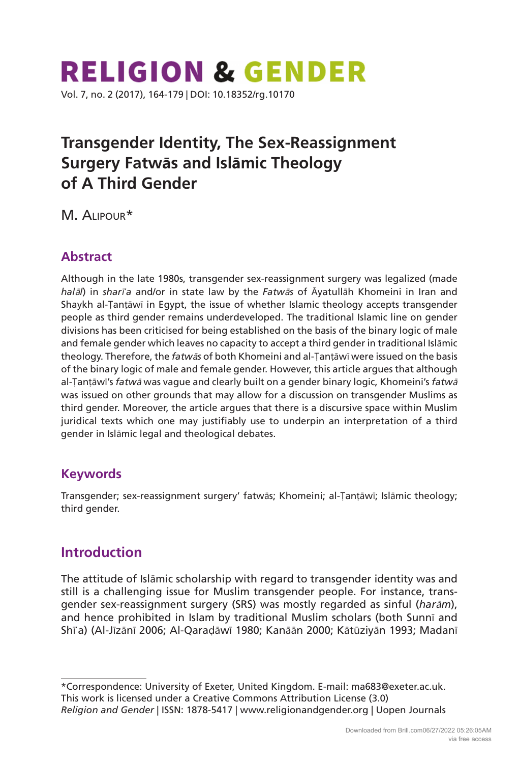# **RELIGION & GENDER** Vol. 7, no. 2 (2017), 164-179 | [DOI: 10.18352/rg.10170](http://doi.org/10.18352/rg.10170)

# **Transgender Identity, The Sex-Reassignment Surgery Fatwās and Islāmic Theology of A Third Gender**

M. Alipour\*

### **Abstract**

Although in the late 1980s, transgender sex-reassignment surgery was legalized (made *hal*ā*l*) in *shar*ī*ʿa* and/or in state law by the *Fatw*ā*s* of Āyatullāh Khomeini in Iran and Shaykh al-Ṭanṭāwī in Egypt, the issue of whether Islamic theology accepts transgender people as third gender remains underdeveloped. The traditional Islamic line on gender divisions has been criticised for being established on the basis of the binary logic of male and female gender which leaves no capacity to accept a third gender in traditional Islāmic theology. Therefore, the *fatw*ā*s* of both Khomeini and al-Ṭanṭāwī were issued on the basis of the binary logic of male and female gender. However, this article argues that although al-Ṭanṭāwī's *fatw*ā was vague and clearly built on a gender binary logic, Khomeini's *fatw*<sup>ā</sup> was issued on other grounds that may allow for a discussion on transgender Muslims as third gender. Moreover, the article argues that there is a discursive space within Muslim juridical texts which one may justifiably use to underpin an interpretation of a third gender in Islāmic legal and theological debates.

#### **Keywords**

Transgender; sex-reassignment surgery' fatwās; Khomeini; al-Ṭanṭāwī; Islāmic theology; third gender.

# **Introduction**

The attitude of Islāmic scholarship with regard to transgender identity was and still is a challenging issue for Muslim transgender people. For instance, transgender sex-reassignment surgery (SRS) was mostly regarded as sinful (*har*ā*m*), and hence prohibited in Islam by traditional Muslim scholars (both Sunnī and Shīʿa) (Al-Jīzānī 2006; Al-Qaraḍāwī 1980; Kanāān 2000; Kātūziyān 1993; Madanī

\*Correspondence: University of Exeter, United Kingdom. E-mail: [ma683@exeter.ac.uk.](mailto:ma683@exeter.ac.uk) This work is licensed under a Creative Commons Attribution License (3.0) *Religion and Gender* | ISSN: 1878-5417 |<www.religionandgender.org> | Uopen Journals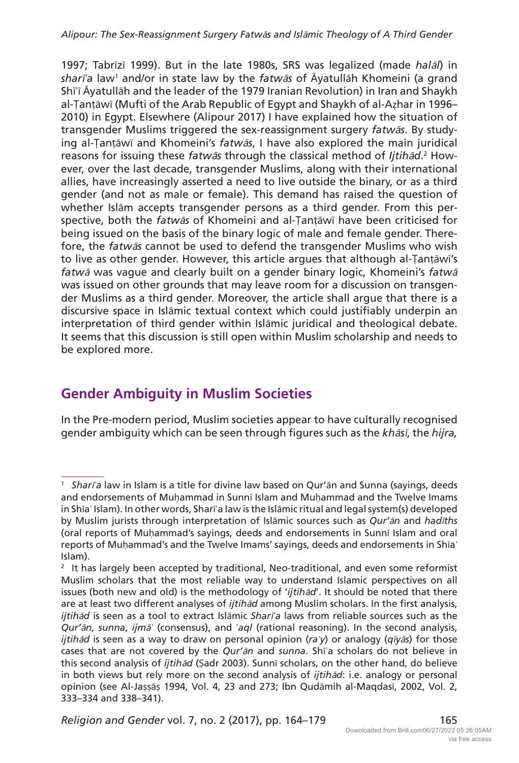1997; Tabrīzī 1999). But in the late 1980s, SRS was legalized (made *hal*ā*l*) in *shar*ī*ʿa* law1 and/or in state law by the *fatw*ā*s* of Āyatullāh Khomeini (a grand Shīʿī Āyatullāh and the leader of the 1979 Iranian Revolution) in Iran and Shaykh al-Ṭanṭāwī (Mufti of the Arab Republic of Egypt and Shaykh of al-Aẓhar in 1996– 2010) in Egypt. Elsewhere (Alipour 2017) I have explained how the situation of transgender Muslims triggered the sex-reassignment surgery *fatw*ā*s*. By studying al-Ṭanṭāwī and Khomeini's *fatw*ā*s*, I have also explored the main juridical reasons for issuing these *fatwās* through the classical method of *Ijtihād*.<sup>2</sup> However, over the last decade, transgender Muslims, along with their international allies, have increasingly asserted a need to live outside the binary, or as a third gender (and not as male or female). This demand has raised the question of whether Islām accepts transgender persons as a third gender. From this perspective, both the *fatw*ā*s* of Khomeini and al-Ṭanṭāwī have been criticised for being issued on the basis of the binary logic of male and female gender. Therefore, the *fatw*ā*s* cannot be used to defend the transgender Muslims who wish to live as other gender. However, this article argues that although al-Ṭanṭāwī's *fatw*ā was vague and clearly built on a gender binary logic, Khomeini's *fatw*<sup>ā</sup> was issued on other grounds that may leave room for a discussion on transgender Muslims as a third gender. Moreover, the article shall argue that there is a discursive space in Islāmic textual context which could justifiably underpin an interpretation of third gender within Islāmic juridical and theological debate. It seems that this discussion is still open within Muslim scholarship and needs to be explored more.

# **Gender Ambiguity in Muslim Societies**

In the Pre-modern period, Muslim societies appear to have culturally recognised gender ambiguity which can be seen through figures such as the *kh*ā*s*ī, the *hijra,*

<sup>1</sup> *Shar*ī*ʿa* law in Islam is a title for divine law based on Qur'ān and Sunna (sayings, deeds and endorsements of Muḥammad in Sunnī Islam and Muḥammad and the Twelve Imams in Shīaʿ Islam). In other words, Sharīʿa law is the Islāmic ritual and legal system(s) developed by Muslim jurists through interpretation of Islāmic sources such as *Qur'*ā*n* and *had*ī*ths*  (oral reports of Muḥammad's sayings, deeds and endorsements in Sunnī Islam and oral reports of Muḥammad's and the Twelve Imams' sayings, deeds and endorsements in Shīaʿ Islam).

 $2$  It has largely been accepted by traditional, Neo-traditional, and even some reformist Muslim scholars that the most reliable way to understand Islamic perspectives on all issues (both new and old) is the methodology of '*ijtih*ā*d*'. It should be noted that there are at least two different analyses of *ijtih*ā*d* among Muslim scholars. In the first analysis, *ijtih*ā*d* is seen as a tool to extract Islāmic *Shar*ī*ʿa* laws from reliable sources such as the *Qur'*ā*n*, *sunna*, *ijm*ā*ʿ* (consensus), and ʿ*aql* (rational reasoning). In the second analysis, *ijtih*ā*d* is seen as a way to draw on personal opinion (*raʾy*) or analogy (*q*ī*y*ā*s*) for those cases that are not covered by the *Qur'*ā*n* and *sunna*. Shīʿa scholars do not believe in this second analysis of *ijtih*ā*d* (Ṣadr 2003). Sunnī scholars, on the other hand, do believe in both views but rely more on the second analysis of *ijtih*ā*d*: i.e. analogy or personal opinion (see Al-Jaṣṣāṣ 1994, Vol. 4, 23 and 273; Ibn Qudāmih al-Maqdasī, 2002, Vol. 2, 333–334 and 338–341).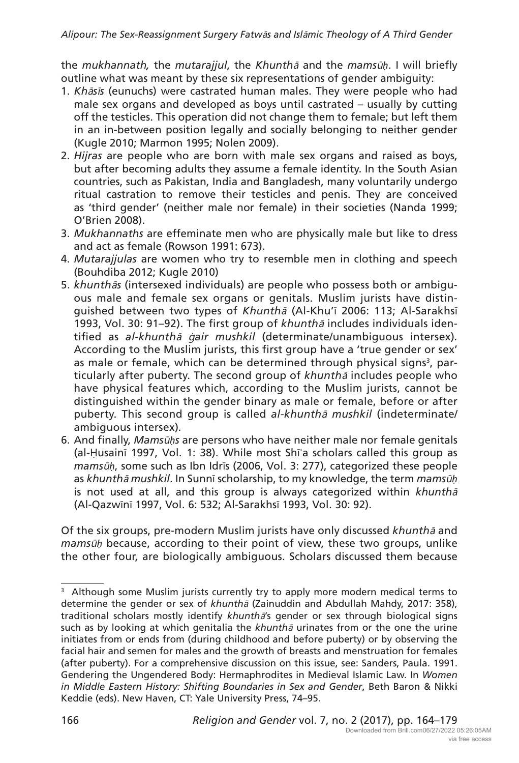the *mukhannath,* the *mutarajjul*, the *Khunth*ā and the *mams*ū*ḥ*. I will briefly outline what was meant by these six representations of gender ambiguity:

- 1. *Kh*ā*s*ī*s* (eunuchs) were castrated human males. They were people who had male sex organs and developed as boys until castrated – usually by cutting off the testicles. This operation did not change them to female; but left them in an in-between position legally and socially belonging to neither gender (Kugle 2010; Marmon 1995; Nolen 2009).
- 2. *Hijras* are people who are born with male sex organs and raised as boys, but after becoming adults they assume a female identity. In the South Asian countries, such as Pakistan, India and Bangladesh, many voluntarily undergo ritual castration to remove their testicles and penis. They are conceived as 'third gender' (neither male nor female) in their societies (Nanda 1999; O'Brien 2008).
- 3. *Mukhannaths* are effeminate men who are physically male but like to dress and act as female (Rowson 1991: 673).
- 4. *Mutarajjulas* are women who try to resemble men in clothing and speech (Bouhdiba 2012; Kugle 2010)
- 5. *khunth*ā*s* (intersexed individuals) are people who possess both or ambiguous male and female sex organs or genitals. Muslim jurists have distinguished between two types of *Khunth*<sup>ā</sup> (Al-Khu'ī 2006: 113; Al-Sarakhsī 1993, Vol. 30: 91–92). The first group of *khunth*ā includes individuals identified as *al-khunth*<sup>ā</sup> ġ*air mushkil* (determinate/unambiguous intersex)*.* According to the Muslim jurists, this first group have a 'true gender or sex' as male or female, which can be determined through physical signs<sup>3</sup>, particularly after puberty. The second group of *khunth*<sup>ā</sup> includes people who have physical features which, according to the Muslim jurists, cannot be distinguished within the gender binary as male or female, before or after puberty. This second group is called *al-khunth*ā *mushkil* (indeterminate/ ambiguous intersex)*.*
- 6. And finally, *Mams*ū*ḥs* are persons who have neither male nor female genitals (al-Ḥusainī 1997, Vol. 1: 38). While most Shīʿa scholars called this group as *mams*ū*ḥ*, some such as Ibn Idrīs (2006, Vol. 3: 277), categorized these people as *khunth*ā *mushkil*. In Sunnī scholarship, to my knowledge, the term *mams*ū*ḥ* is not used at all, and this group is always categorized within *khunth*<sup>ā</sup> (Al-Qazwīnī 1997, Vol. 6: 532; Al-Sarakhsī 1993, Vol. 30: 92).

Of the six groups, pre-modern Muslim jurists have only discussed *khunth*ā and *mams*ū*ḥ* because, according to their point of view, these two groups, unlike the other four, are biologically ambiguous. Scholars discussed them because

<sup>&</sup>lt;sup>3</sup> Although some Muslim jurists currently try to apply more modern medical terms to determine the gender or sex of *khunth*ā (Zainuddin and Abdullah Mahdy, 2017: 358), traditional scholars mostly identify *khunth*ā's gender or sex through biological signs such as by looking at which genitalia the *khunth*<sup>ā</sup> urinates from or the one the urine initiates from or ends from (during childhood and before puberty) or by observing the facial hair and semen for males and the growth of breasts and menstruation for females (after puberty). For a comprehensive discussion on this issue, see: Sanders, Paula. 1991. Gendering the Ungendered Body: Hermaphrodites in Medieval Islamic Law. In *Women in Middle Eastern History: Shifting Boundaries in Sex and Gender*, Beth Baron & Nikki Keddie (eds). New Haven, CT: Yale University Press, 74–95.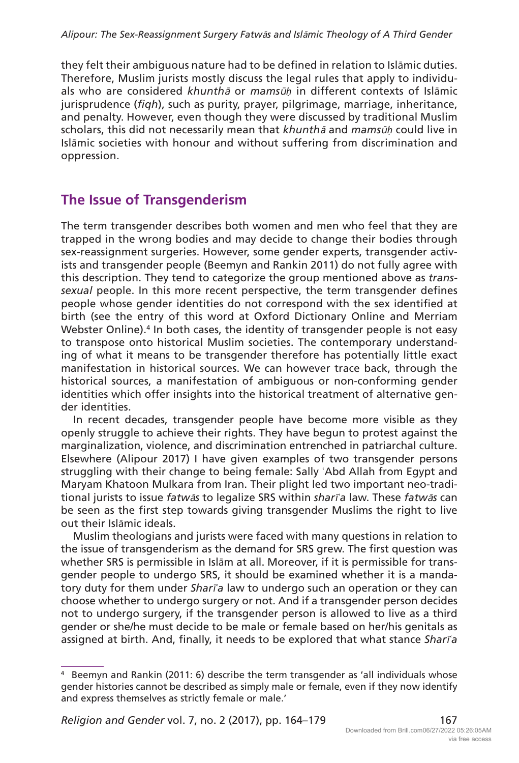they felt their ambiguous nature had to be defined in relation to Islāmic duties. Therefore, Muslim jurists mostly discuss the legal rules that apply to individuals who are considered *khunth*ā or *mams*ū*ḥ* in different contexts of Islāmic jurisprudence (*fiqh*), such as purity, prayer, pilgrimage, marriage, inheritance, and penalty. However, even though they were discussed by traditional Muslim scholars, this did not necessarily mean that *khunth*<sup>ā</sup> and *mams*ū*ḥ* could live in Islāmic societies with honour and without suffering from discrimination and oppression.

#### **The Issue of Transgenderism**

The term transgender describes both women and men who feel that they are trapped in the wrong bodies and may decide to change their bodies through sex-reassignment surgeries. However, some gender experts, transgender activists and transgender people (Beemyn and Rankin 2011) do not fully agree with this description. They tend to categorize the group mentioned above as *transsexual* people. In this more recent perspective, the term transgender defines people whose gender identities do not correspond with the sex identified at birth (see the entry of this word at Oxford Dictionary Online and Merriam Webster Online).<sup>4</sup> In both cases, the identity of transgender people is not easy to transpose onto historical Muslim societies. The contemporary understanding of what it means to be transgender therefore has potentially little exact manifestation in historical sources. We can however trace back, through the historical sources, a manifestation of ambiguous or non-conforming gender identities which offer insights into the historical treatment of alternative gender identities.

In recent decades, transgender people have become more visible as they openly struggle to achieve their rights. They have begun to protest against the marginalization, violence, and discrimination entrenched in patriarchal culture. Elsewhere (Alipour 2017) I have given examples of two transgender persons struggling with their change to being female: Sally ʿAbd Allah from Egypt and Maryam Khatoon Mulkara from Iran. Their plight led two important neo-traditional jurists to issue *fatw*ā*s* to legalize SRS within *shar*ī*ʿa* law. These *fatw*ā*s* can be seen as the first step towards giving transgender Muslims the right to live out their Islāmic ideals.

Muslim theologians and jurists were faced with many questions in relation to the issue of transgenderism as the demand for SRS grew. The first question was whether SRS is permissible in Islām at all. Moreover, if it is permissible for transgender people to undergo SRS, it should be examined whether it is a mandatory duty for them under *Shar*ī*ʿa* law to undergo such an operation or they can choose whether to undergo surgery or not. And if a transgender person decides not to undergo surgery, if the transgender person is allowed to live as a third gender or she/he must decide to be male or female based on her/his genitals as assigned at birth. And, finally, it needs to be explored that what stance *Shar*ī*ʿa*

<sup>4</sup> Beemyn and Rankin (2011: 6) describe the term transgender as 'all individuals whose gender histories cannot be described as simply male or female, even if they now identify and express themselves as strictly female or male.'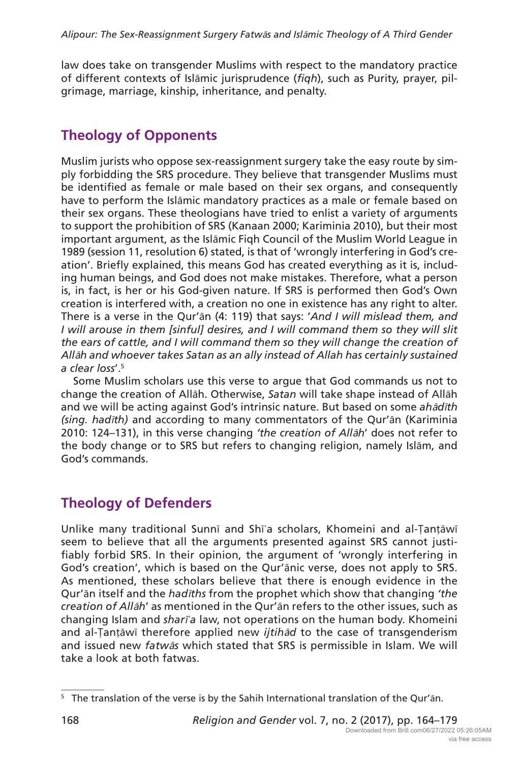law does take on transgender Muslims with respect to the mandatory practice of different contexts of Islāmic jurisprudence (*fiqh*), such as Purity, prayer, pilgrimage, marriage, kinship, inheritance, and penalty.

## **Theology of Opponents**

Muslim jurists who oppose sex-reassignment surgery take the easy route by simply forbidding the SRS procedure. They believe that transgender Muslims must be identified as female or male based on their sex organs, and consequently have to perform the Islāmic mandatory practices as a male or female based on their sex organs. These theologians have tried to enlist a variety of arguments to support the prohibition of SRS (Kanaan 2000; Kariminia 2010), but their most important argument, as the Islāmic Fiqh Council of the Muslim World League in 1989 (session 11, resolution 6) stated, is that of 'wrongly interfering in God's creation'. Briefly explained, this means God has created everything as it is, including human beings, and God does not make mistakes. Therefore, what a person is, in fact, is her or his God-given nature. If SRS is performed then God's Own creation is interfered with, a creation no one in existence has any right to alter. There is a verse in the Qur'ān (4: 119) that says: '*And I will mislead them, and I* will arouse in them [sinful] desires, and *I* will command them so they will slit *the ears of cattle, and I will command them so they will change the creation of All*ā*h and whoever takes Satan as an ally instead of Allah has certainly sustained a clear loss*'.5

Some Muslim scholars use this verse to argue that God commands us not to change the creation of Allāh. Otherwise, *Satan* will take shape instead of Allāh and we will be acting against God's intrinsic nature. But based on some *ah*ā*d*ī*th (sing. had*ī*th)* and according to many commentators of the Qur'ān (Kariminia 2010: 124–131), in this verse changing *'the creation of All*ā*h*' does not refer to the body change or to SRS but refers to changing religion, namely Islām, and God's commands.

### **Theology of Defenders**

Unlike many traditional Sunnī and Shīʿa scholars, Khomeini and al-Ṭanṭāwī seem to believe that all the arguments presented against SRS cannot justifiably forbid SRS. In their opinion, the argument of 'wrongly interfering in God's creation', which is based on the Qur'ānic verse, does not apply to SRS. As mentioned, these scholars believe that there is enough evidence in the Qur'ān itself and the *had*ī*ths* from the prophet which show that changing *'the creation of All*ā*h*' as mentioned in the Qur'ān refers to the other issues, such as changing Islam and *shar*ī*ʿa* law, not operations on the human body. Khomeini and al-Ṭanṭāwī therefore applied new *ijtih*ā*d* to the case of transgenderism and issued new *fatw*ā*s* which stated that SRS is permissible in Islam. We will take a look at both fatwas.

<sup>&</sup>lt;sup>5</sup> The translation of the verse is by the Sahih International translation of the Qur'ān.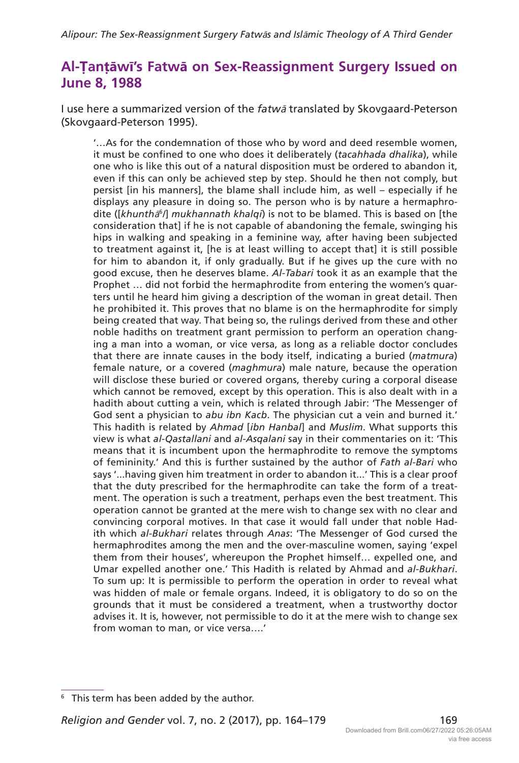#### **Al-Ṭanṭāwī's Fatwā on Sex-Reassignment Surgery Issued on June 8, 1988**

I use here a summarized version of the *fatw*ā translated by Skovgaard-Peterson (Skovgaard-Peterson 1995).

'…As for the condemnation of those who by word and deed resemble women, it must be confined to one who does it deliberately (*tacahhada dhalika*), while one who is like this out of a natural disposition must be ordered to abandon it, even if this can only be achieved step by step. Should he then not comply, but persist [in his manners], the blame shall include him, as well – especially if he displays any pleasure in doing so. The person who is by nature a hermaphrodite ([*khunth*ā<sup>6</sup> */*] *mukhannath khalqi*) is not to be blamed. This is based on [the consideration that] if he is not capable of abandoning the female, swinging his hips in walking and speaking in a feminine way, after having been subjected to treatment against it, [he is at least willing to accept that] it is still possible for him to abandon it, if only gradually. But if he gives up the cure with no good excuse, then he deserves blame. *Al-Tabari* took it as an example that the Prophet … did not forbid the hermaphrodite from entering the women's quarters until he heard him giving a description of the woman in great detail. Then he prohibited it. This proves that no blame is on the hermaphrodite for simply being created that way. That being so, the rulings derived from these and other noble hadiths on treatment grant permission to perform an operation changing a man into a woman, or vice versa, as long as a reliable doctor concludes that there are innate causes in the body itself, indicating a buried (*matmura*) female nature, or a covered (*maghmura*) male nature, because the operation will disclose these buried or covered organs, thereby curing a corporal disease which cannot be removed, except by this operation. This is also dealt with in a hadith about cutting a vein, which is related through Jabir: 'The Messenger of God sent a physician to *abu ibn Kacb*. The physician cut a vein and burned it.' This hadith is related by *Ahmad* [*ibn Hanbal*] and *Muslim*. What supports this view is what *al-Qastallani* and *al-Asqalani* say in their commentaries on it: 'This means that it is incumbent upon the hermaphrodite to remove the symptoms of femininity.' And this is further sustained by the author of *Fath al-Bari* who says '...having given him treatment in order to abandon it...' This is a clear proof that the duty prescribed for the hermaphrodite can take the form of a treatment. The operation is such a treatment, perhaps even the best treatment. This operation cannot be granted at the mere wish to change sex with no clear and convincing corporal motives. In that case it would fall under that noble Hadith which *al-Bukhari* relates through *Anas*: 'The Messenger of God cursed the hermaphrodites among the men and the over-masculine women, saying 'expel them from their houses', whereupon the Prophet himself… expelled one, and Umar expelled another one.' This Hadith is related by Ahmad and *al-Bukhari*. To sum up: It is permissible to perform the operation in order to reveal what was hidden of male or female organs. Indeed, it is obligatory to do so on the grounds that it must be considered a treatment, when a trustworthy doctor advises it. It is, however, not permissible to do it at the mere wish to change sex from woman to man, or vice versa….'

<sup>&</sup>lt;sup>6</sup> This term has been added by the author.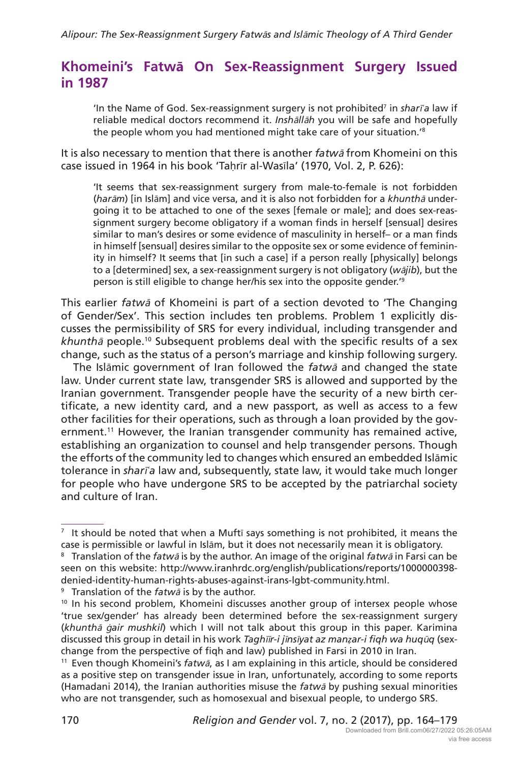#### **Khomeini's Fatwā On Sex-Reassignment Surgery Issued in 1987**

'In the Name of God. Sex-reassignment surgery is not prohibited<sup>7</sup> in *sharī*'a law if reliable medical doctors recommend it. *Insh*ā*ll*ā*h* you will be safe and hopefully the people whom you had mentioned might take care of your situation.'8

It is also necessary to mention that there is another *fatw*ā from Khomeini on this case issued in 1964 in his book 'Tahrīr al-Wasīla' (1970, Vol. 2, P. 626):

'It seems that sex-reassignment surgery from male-to-female is not forbidden (*har*ā*m*) [in Islām] and vice versa, and it is also not forbidden for a *khunth*ā undergoing it to be attached to one of the sexes [female or male]; and does sex-reassignment surgery become obligatory if a woman finds in herself [sensual] desires similar to man's desires or some evidence of masculinity in herself– or a man finds in himself [sensual] desires similar to the opposite sex or some evidence of femininity in himself? It seems that [in such a case] if a person really [physically] belongs to a [determined] sex, a sex-reassignment surgery is not obligatory (*w*ā*jib*), but the person is still eligible to change her/his sex into the opposite gender.'9

This earlier *fatw*ā of Khomeini is part of a section devoted to 'The Changing of Gender/Sex'. This section includes ten problems. Problem 1 explicitly discusses the permissibility of SRS for every individual, including transgender and *khunth*ā people.10 Subsequent problems deal with the specific results of a sex change, such as the status of a person's marriage and kinship following surgery.

The Islāmic government of Iran followed the *fatw*ā and changed the state law. Under current state law, transgender SRS is allowed and supported by the Iranian government. Transgender people have the security of a new birth certificate, a new identity card, and a new passport, as well as access to a few other facilities for their operations, such as through a loan provided by the government.<sup>11</sup> However, the Iranian transgender community has remained active, establishing an organization to counsel and help transgender persons. Though the efforts of the community led to changes which ensured an embedded Islāmic tolerance in *shar*ī*ʿa* law and, subsequently, state law, it would take much longer for people who have undergone SRS to be accepted by the patriarchal society and culture of Iran.

 $<sup>7</sup>$  It should be noted that when a Muftī says something is not prohibited, it means the</sup> case is permissible or lawful in Islām, but it does not necessarily mean it is obligatory.

<sup>8</sup> Translation of the *fatw*ā is by the author. An image of the original *fatw*ā in Farsi can be seen on this website: [http://www.iranhrdc.org/english/publications/reports/1000000398](http://www.iranhrdc.org/english/publications/reports/1000000398-denied-identity-human-rights-abuses-against-irans-lgbt-community.html) [denied-identity-human-rights-abuses-against-irans-lgbt-community.html.](http://www.iranhrdc.org/english/publications/reports/1000000398-denied-identity-human-rights-abuses-against-irans-lgbt-community.html)

<sup>9</sup> Translation of the *fatw*ā is by the author.

<sup>&</sup>lt;sup>10</sup> In his second problem, Khomeini discusses another group of intersex people whose 'true sex/gender' has already been determined before the sex-reassignment surgery (*khunth*<sup>ā</sup> ġ*air mushkil*) which I will not talk about this group in this paper. Karimina discussed this group in detail in his work *Tagh*īī*r-i j*ī*ns*ī*yat az manẓar-i fiqh wa huq*ū*q* (sexchange from the perspective of fiqh and law) published in Farsi in 2010 in Iran.

<sup>11</sup> Even though Khomeini's *fatw*ā, as I am explaining in this article, should be considered as a positive step on transgender issue in Iran, unfortunately, according to some reports (Hamadani 2014), the Iranian authorities misuse the *fatw*ā by pushing sexual minorities who are not transgender, such as homosexual and bisexual people, to undergo SRS.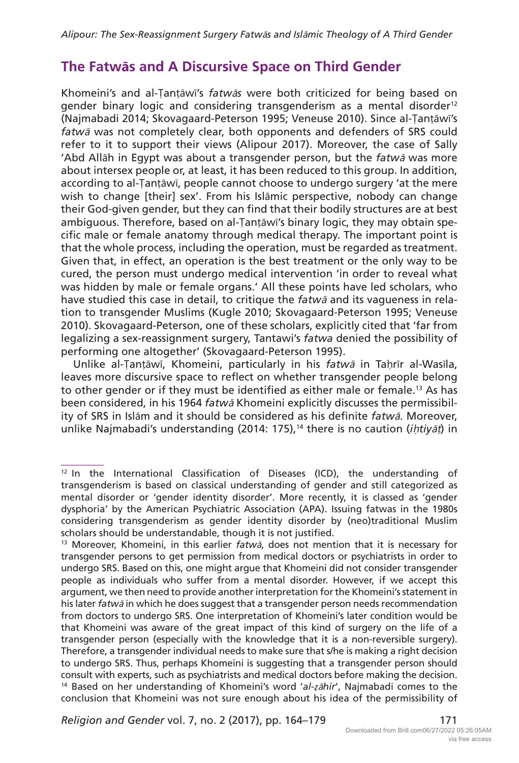#### **The Fatwās and A Discursive Space on Third Gender**

Khomeini's and al-Ṭanṭāwī's *fatw*ā*s* were both criticized for being based on gender binary logic and considering transgenderism as a mental disorder<sup>12</sup> (Najmabadi 2014; Skovagaard-Peterson 1995; Veneuse 2010). Since al-Ṭanṭāwī's *fatw*ā was not completely clear, both opponents and defenders of SRS could refer to it to support their views (Alipour 2017). Moreover, the case of Sally 'Abd Allāh in Egypt was about a transgender person, but the *fatw*ā was more about intersex people or, at least, it has been reduced to this group. In addition, according to al-Ṭanṭāwī, people cannot choose to undergo surgery 'at the mere wish to change [their] sex'. From his Islāmic perspective, nobody can change their God-given gender, but they can find that their bodily structures are at best ambiguous. Therefore, based on al-Ṭanṭāwī's binary logic, they may obtain specific male or female anatomy through medical therapy. The important point is that the whole process, including the operation, must be regarded as treatment. Given that, in effect, an operation is the best treatment or the only way to be cured, the person must undergo medical intervention 'in order to reveal what was hidden by male or female organs.' All these points have led scholars, who have studied this case in detail, to critique the *fatw*ā and its vagueness in relation to transgender Muslims (Kugle 2010; Skovagaard-Peterson 1995; Veneuse 2010). Skovagaard-Peterson, one of these scholars, explicitly cited that 'far from legalizing a sex-reassignment surgery, Tantawi's *fatwa* denied the possibility of performing one altogether' (Skovagaard-Peterson 1995).

Unlike al-Ṭanṭāwī, Khomeini, particularly in his *fatw*ā in Taḥrīr al-Wasīla, leaves more discursive space to reflect on whether transgender people belong to other gender or if they must be identified as either male or female.<sup>13</sup> As has been considered, in his 1964 *fatw*ā Khomeini explicitly discusses the permissibility of SRS in Islām and it should be considered as his definite *fatw*ā. Moreover, unlike Najmabadi's understanding (2014: 175),<sup>14</sup> there is no caution (*ihtiyāt*) in

*Religion and Gender* vol. 7, no. 2 (2017), pp. 164–179 171

 $12$  In the International Classification of Diseases (ICD), the understanding of transgenderism is based on classical understanding of gender and still categorized as mental disorder or 'gender identity disorder'. More recently, it is classed as 'gender dysphoria' by the American Psychiatric Association (APA). Issuing fatwas in the 1980s considering transgenderism as gender identity disorder by (neo)traditional Muslim scholars should be understandable, though it is not justified.

<sup>13</sup> Moreover, Khomeini, in this earlier *fatw*ā, does not mention that it is necessary for transgender persons to get permission from medical doctors or psychiatrists in order to undergo SRS. Based on this, one might argue that Khomeini did not consider transgender people as individuals who suffer from a mental disorder. However, if we accept this argument, we then need to provide another interpretation for the Khomeini's statement in his later *fatw*ā in which he does suggest that a transgender person needs recommendation from doctors to undergo SRS. One interpretation of Khomeini's later condition would be that Khomeini was aware of the great impact of this kind of surgery on the life of a transgender person (especially with the knowledge that it is a non-reversible surgery). Therefore, a transgender individual needs to make sure that s/he is making a right decision to undergo SRS. Thus, perhaps Khomeini is suggesting that a transgender person should consult with experts, such as psychiatrists and medical doctors before making the decision. <sup>14</sup> Based on her understanding of Khomeini's word '*al-ẓ*ā*hir*', Najmabadi comes to the conclusion that Khomeini was not sure enough about his idea of the permissibility of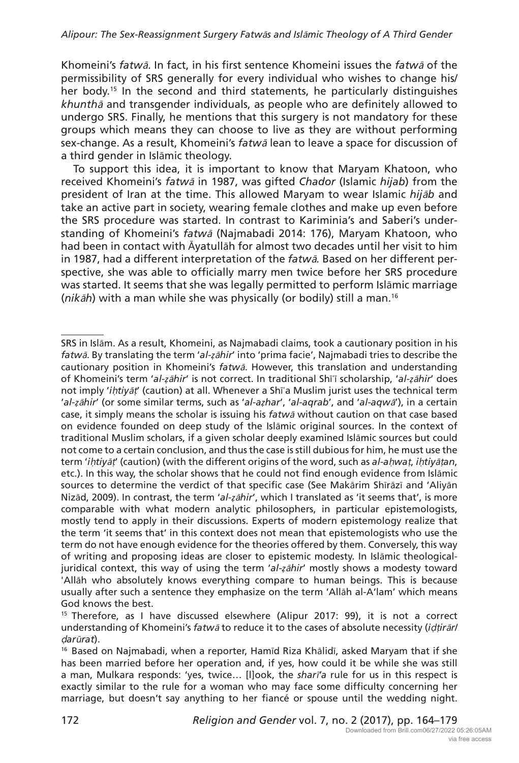Khomeini's *fatw*ā. In fact, in his first sentence Khomeini issues the *fatw*ā of the permissibility of SRS generally for every individual who wishes to change his/ her body.<sup>15</sup> In the second and third statements, he particularly distinguishes *khunth*ā and transgender individuals, as people who are definitely allowed to undergo SRS. Finally, he mentions that this surgery is not mandatory for these groups which means they can choose to live as they are without performing sex-change. As a result, Khomeini's *fatw*<sup>ā</sup> lean to leave a space for discussion of a third gender in Islāmic theology.

To support this idea, it is important to know that Maryam Khatoon, who received Khomeini's *fatw*ā in 1987, was gifted *Chador* (Islamic *hijab*) from the president of Iran at the time. This allowed Maryam to wear Islamic *hij*ā*b* and take an active part in society, wearing female clothes and make up even before the SRS procedure was started. In contrast to Kariminia's and Saberi's understanding of Khomeini's *fatw*<sup>ā</sup> (Najmabadi 2014: 176), Maryam Khatoon, who had been in contact with Āyatullāh for almost two decades until her visit to him in 1987, had a different interpretation of the *fatw*ā*.* Based on her different perspective, she was able to officially marry men twice before her SRS procedure was started. It seems that she was legally permitted to perform Islāmic marriage (*nik*ā*h*) with a man while she was physically (or bodily) still a man.16

SRS in Islām. As a result, Khomeini, as Najmabadi claims, took a cautionary position in his *fatw*ā. By translating the term '*al-ẓ*ā*hir*' into 'prima facie', Najmabadi tries to describe the cautionary position in Khomeini's *fatw*ā. However, this translation and understanding of Khomeini's term '*al-ẓ*ā*hir*' is not correct. In traditional Shīʿī scholarship, '*al-ẓ*ā*hir*' does not imply '*i*ḥ*tiy*āṭ' (caution) at all. Whenever a Shīʿa Muslim jurist uses the technical term '*al-ẓ*ā*hir*' (or some similar terms, such as '*al-aẓhar*', '*al-aqrab*', and '*al-aqw*ā'), in a certain case, it simply means the scholar is issuing his *fatw*ā without caution on that case based on evidence founded on deep study of the Islāmic original sources. In the context of traditional Muslim scholars, if a given scholar deeply examined Islāmic sources but could not come to a certain conclusion, and thus the case is still dubious for him, he must use the term '*i*ḥ*tiy*āṭ' (caution) (with the different origins of the word, such as *al-a*ḥ*wa*ṭ, *i*ḥ*tiy*āṭ*an*, etc.). In this way, the scholar shows that he could not find enough evidence from Islāmic sources to determine the verdict of that specific case (See Makārim Shīrāzī and 'Aliyān Nizād, 2009). In contrast, the term '*al-ẓ*ā*hir*', which I translated as 'it seems that', is more comparable with what modern analytic philosophers, in particular epistemologists, mostly tend to apply in their discussions. Experts of modern epistemology realize that the term 'it seems that' in this context does not mean that epistemologists who use the term do not have enough evidence for the theories offered by them. Conversely, this way of writing and proposing ideas are closer to epistemic modesty. In Islāmic theologicaljuridical context, this way of using the term '*al-ẓ*ā*hir*' mostly shows a modesty toward 'Allāh who absolutely knows everything compare to human beings. This is because usually after such a sentence they emphasize on the term 'Allāh al-A'lam' which means God knows the best.

<sup>&</sup>lt;sup>15</sup> Therefore, as I have discussed elsewhere (Alipur 2017: 99), it is not a correct understanding of Khomeini's *fatw*ā to reduce it to the cases of absolute necessity (*i*ḍṭ*ir*ā*r/* ḍ*ar*ū*rat*).

<sup>&</sup>lt;sup>16</sup> Based on Najmabadi, when a reporter, Hamīd Riza Khālidī, asked Maryam that if she has been married before her operation and, if yes, how could it be while she was still a man, Mulkara responds: 'yes, twice… [l]ook, the *shar*ī*'a* rule for us in this respect is exactly similar to the rule for a woman who may face some difficulty concerning her marriage, but doesn't say anything to her fiancé or spouse until the wedding night.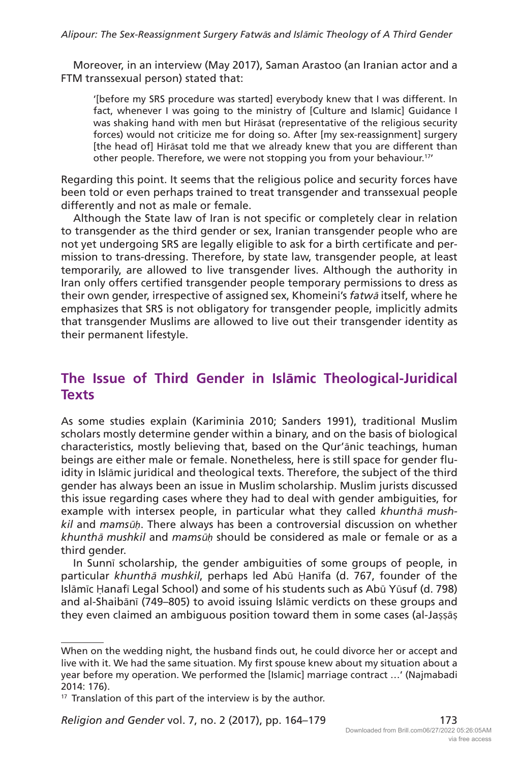Moreover, in an interview (May 2017), Saman Arastoo (an Iranian actor and a FTM transsexual person) stated that:

'[before my SRS procedure was started] everybody knew that I was different. In fact, whenever I was going to the ministry of [Culture and Islamic] Guidance I was shaking hand with men but Hirāsat (representative of the religious security forces) would not criticize me for doing so. After [my sex-reassignment] surgery [the head of] Hirāsat told me that we already knew that you are different than other people. Therefore, we were not stopping you from your behaviour.<sup>17</sup>

Regarding this point. It seems that the religious police and security forces have been told or even perhaps trained to treat transgender and transsexual people differently and not as male or female.

Although the State law of Iran is not specific or completely clear in relation to transgender as the third gender or sex, Iranian transgender people who are not yet undergoing SRS are legally eligible to ask for a birth certificate and permission to trans-dressing. Therefore, by state law, transgender people, at least temporarily, are allowed to live transgender lives. Although the authority in Iran only offers certified transgender people temporary permissions to dress as their own gender, irrespective of assigned sex, Khomeini's *fatw*<sup>ā</sup> itself, where he emphasizes that SRS is not obligatory for transgender people, implicitly admits that transgender Muslims are allowed to live out their transgender identity as their permanent lifestyle.

#### **The Issue of Third Gender in Islāmic Theological-Juridical Texts**

As some studies explain (Kariminia 2010; Sanders 1991), traditional Muslim scholars mostly determine gender within a binary, and on the basis of biological characteristics, mostly believing that, based on the Qur'ānic teachings, human beings are either male or female. Nonetheless, here is still space for gender fluidity in Islāmic juridical and theological texts. Therefore, the subject of the third gender has always been an issue in Muslim scholarship. Muslim jurists discussed this issue regarding cases where they had to deal with gender ambiguities, for example with intersex people, in particular what they called *khunth*ā *mushkil* and *mams*ū*ḥ*. There always has been a controversial discussion on whether *khunth*ā *mushkil* and *mams*ū*ḥ* should be considered as male or female or as a third gender.

In Sunnī scholarship, the gender ambiguities of some groups of people, in particular *khunth*ā *mushkil*, perhaps led Abū Ḥanīfa (d. 767, founder of the Islāmīc Ḥanafī Legal School) and some of his students such as Abū Yūsuf (d. 798) and al-Shaibānī (749–805) to avoid issuing Islāmic verdicts on these groups and they even claimed an ambiguous position toward them in some cases (al-Jassās

*Religion and Gender vol. 7, no. 2 (2017), pp. 164-179* 173

When on the wedding night, the husband finds out, he could divorce her or accept and live with it. We had the same situation. My first spouse knew about my situation about a year before my operation. We performed the [Islamic] marriage contract …' (Najmabadi 2014: 176).

<sup>&</sup>lt;sup>17</sup> Translation of this part of the interview is by the author.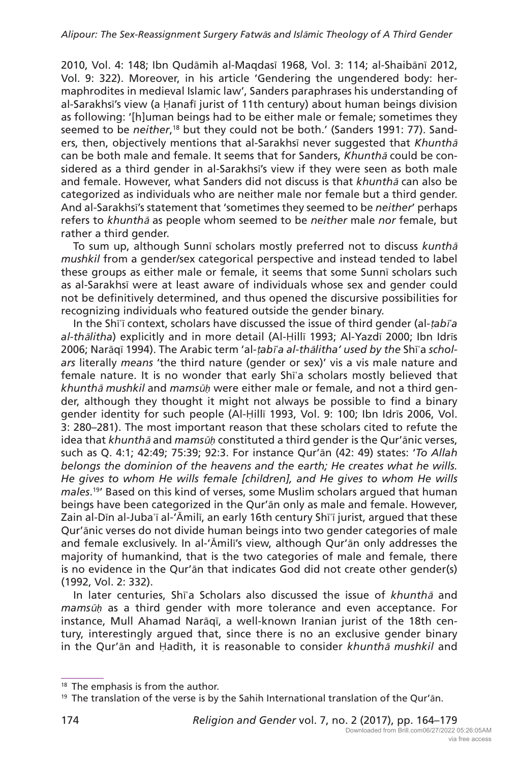2010, Vol. 4: 148; Ibn Qudāmih al-Maqdasī 1968, Vol. 3: 114; al-Shaibānī 2012, Vol. 9: 322). Moreover, in his article 'Gendering the ungendered body: hermaphrodites in medieval Islamic law', Sanders paraphrases his understanding of al-Sarakhsī's view (a Ḥanafī jurist of 11th century) about human beings division as following: '[h]uman beings had to be either male or female; sometimes they seemed to be *neither*,<sup>18</sup> but they could not be both.' (Sanders 1991: 77). Sanders, then, objectively mentions that al-Sarakhsī never suggested that *Khunth*<sup>ā</sup> can be both male and female. It seems that for Sanders, *Khunth*ā could be considered as a third gender in al-Sarakhsī's view if they were seen as both male and female. However, what Sanders did not discuss is that *khunth*ā can also be categorized as individuals who are neither male nor female but a third gender. And al-Sarakhsī's statement that 'sometimes they seemed to be *neither*' perhaps refers to *khunth*<sup>ā</sup> as people whom seemed to be *neither* male *nor* female, but rather a third gender.

To sum up, although Sunnī scholars mostly preferred not to discuss *kunth*<sup>ā</sup> *mushkil* from a gender/sex categorical perspective and instead tended to label these groups as either male or female, it seems that some Sunnī scholars such as al-Sarakhsī were at least aware of individuals whose sex and gender could not be definitively determined, and thus opened the discursive possibilities for recognizing individuals who featured outside the gender binary.

In the Shīʿī context, scholars have discussed the issue of third gender (al-ṭ*ab*ī*ʿa al-th*ā*litha*) explicitly and in more detail (Al-Ḥillī 1993; Al-Yazdī 2000; Ibn Idrīs 2006; Narāqī 1994). The Arabic term 'al-ṭ*ab*ī*ʿa al-th*ā*litha' used by the* Shīʿa *scholars* literally *means* 'the third nature (gender or sex)' vis a vis male nature and female nature. It is no wonder that early Shīʿa scholars mostly believed that *khunth*ā *mushkil* and *mams*ū*ḥ* were either male or female, and not a third gender, although they thought it might not always be possible to find a binary gender identity for such people (Al-Ḥillī 1993, Vol. 9: 100; Ibn Idrīs 2006, Vol. 3: 280–281). The most important reason that these scholars cited to refute the idea that *khunth*ā and *mams*ū*ḥ* constituted a third gender is the Qur'ānic verses, such as Q. 4:1; 42:49; 75:39; 92:3. For instance Qur'ān (42: 49) states: '*To Allah belongs the dominion of the heavens and the earth; He creates what he wills. He gives to whom He wills female [children], and He gives to whom He wills males*. 19' Based on this kind of verses, some Muslim scholars argued that human beings have been categorized in the Qur'ān only as male and female. However, Zain al-Dīn al-Jubaʿī al-'Āmilī, an early 16th century Shīʿī jurist, argued that these Qur'ānic verses do not divide human beings into two gender categories of male and female exclusively. In al-'Āmilī's view, although Qur'ān only addresses the majority of humankind, that is the two categories of male and female, there is no evidence in the Qur'ān that indicates God did not create other gender(s) (1992, Vol. 2: 332).

In later centuries, Shīʿa Scholars also discussed the issue of *khunth*ā and *mams*ū*ḥ* as a third gender with more tolerance and even acceptance. For instance, Mull Ahamad Narāqī, a well-known Iranian jurist of the 18th century, interestingly argued that, since there is no an exclusive gender binary in the Qur'ān and Ḥadīth, it is reasonable to consider *khunth*ā *mushkil* and

<sup>&</sup>lt;sup>18</sup> The emphasis is from the author.

 $19$  The translation of the verse is by the Sahih International translation of the Qur'an.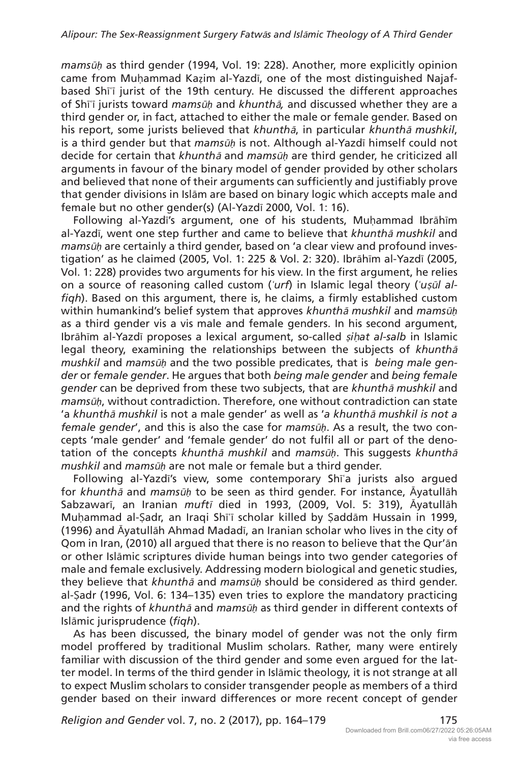*mams*ū*ḥ* as third gender (1994, Vol. 19: 228). Another, more explicitly opinion came from Muḥammad Kaẓim al-Yazdī, one of the most distinguished Najafbased Shīʿī jurist of the 19th century. He discussed the different approaches of Shīʿī jurists toward *mams*ū*ḥ* and *khunth*ā*,* and discussed whether they are a third gender or, in fact, attached to either the male or female gender. Based on his report, some jurists believed that *khunth*ā, in particular *khunth*<sup>ā</sup> *mushkil*, is a third gender but that *mams*ū*ḥ* is not. Although al-Yazdī himself could not decide for certain that *khunth*ā and *mams*ū*ḥ* are third gender, he criticized all arguments in favour of the binary model of gender provided by other scholars and believed that none of their arguments can sufficiently and justifiably prove that gender divisions in Islām are based on binary logic which accepts male and female but no other gender(s) (Al-Yazdī 2000, Vol. 1: 16).

Following al-Yazdī's argument, one of his students, Muḥammad Ibrāhīm al-Yazdī, went one step further and came to believe that *khunth*ā *mushkil* and *mams*ū*ḥ* are certainly a third gender, based on 'a clear view and profound investigation' as he claimed (2005, Vol. 1: 225 & Vol. 2: 320). Ibrāhīm al-Yazdī (2005, Vol. 1: 228) provides two arguments for his view. In the first argument, he relies on a source of reasoning called custom (*ʿurf*) in Islamic legal theory (*ʿu*ṣū*l alfiqh*). Based on this argument, there is, he claims, a firmly established custom within humankind's belief system that approves *khunth*ā *mushkil* and *mams*ū*ḥ* as a third gender vis a vis male and female genders. In his second argument, Ibrāhīm al-Yazdī proposes a lexical argument, so-called ṣ*i*ḥ*at al-salb* in Islamic legal theory, examining the relationships between the subjects of *khunth*<sup>ā</sup> *mushkil* and *mams*ū*ḥ* and the two possible predicates, that is *being male gender* or *female gender*. He argues that both *being male gender* and *being female gender* can be deprived from these two subjects, that are *khunth*ā *mushkil* and *mams*ū*ḥ*, without contradiction. Therefore, one without contradiction can state 'a *khunth*ā *mushkil* is not a male gender' as well as '*a khunth*ā *mushkil is not a female gender*', and this is also the case for *mams*ū*ḥ*. As a result, the two concepts 'male gender' and 'female gender' do not fulfil all or part of the denotation of the concepts *khunth*ā *mushkil* and *mams*ū*ḥ*. This suggests *khunth*<sup>ā</sup> *mushkil* and *mams*ū*ḥ* are not male or female but a third gender.

Following al-Yazdī's view, some contemporary Shīʿa jurists also argued for *khunth*ā and *mams*ū*ḥ* to be seen as third gender. For instance, Āyatullāh Sabzawarī, an Iranian *muft*ī died in 1993, (2009, Vol. 5: 319), Āyatullāh Muḥammad al-Ṣadr, an Iraqi Shīʿī scholar killed by Ṣaddām Hussain in 1999, (1996) and Āyatullāh Ahmad Madadī, an Iranian scholar who lives in the city of Qom in Iran, (2010) all argued that there is no reason to believe that the Qur'ān or other Islāmic scriptures divide human beings into two gender categories of male and female exclusively. Addressing modern biological and genetic studies, they believe that *khunth*ā and *mams*ū*ḥ* should be considered as third gender. al-Ṣadr (1996, Vol. 6: 134–135) even tries to explore the mandatory practicing and the rights of *khunth*<sup>ā</sup> and *mams*ū*ḥ* as third gender in different contexts of Islāmic jurisprudence (*fiqh*).

As has been discussed, the binary model of gender was not the only firm model proffered by traditional Muslim scholars. Rather, many were entirely familiar with discussion of the third gender and some even argued for the latter model. In terms of the third gender in Islāmic theology, it is not strange at all to expect Muslim scholars to consider transgender people as members of a third gender based on their inward differences or more recent concept of gender

*Religion and Gender* vol. 7, no. 2 (2017), pp. 164–179 175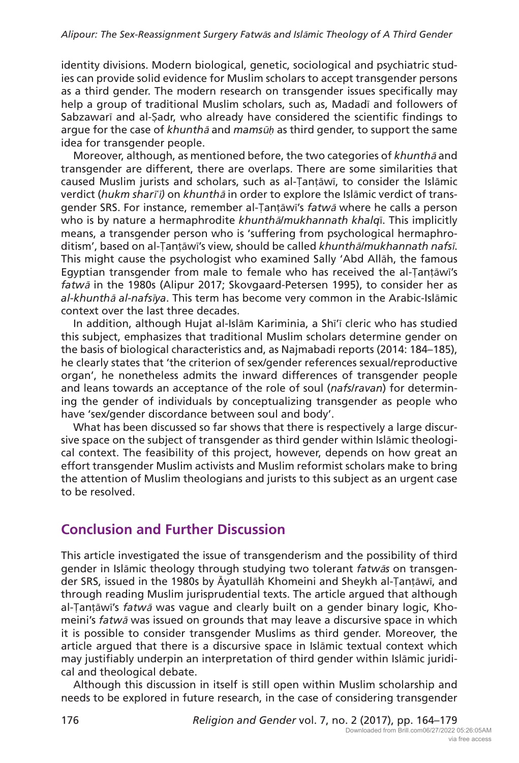identity divisions. Modern biological, genetic, sociological and psychiatric studies can provide solid evidence for Muslim scholars to accept transgender persons as a third gender. The modern research on transgender issues specifically may help a group of traditional Muslim scholars, such as, Madadī and followers of Sabzawarī and al-Ṣadr, who already have considered the scientific findings to argue for the case of *khunth*<sup>ā</sup> and *mams*ū*ḥ* as third gender, to support the same idea for transgender people.

Moreover, although, as mentioned before, the two categories of *khunth*ā and transgender are different, there are overlaps. There are some similarities that caused Muslim jurists and scholars, such as al-Ṭanṭāwī, to consider the Islāmic verdict (*hukm shar*ī*ʿ*ī*)* on *khunth*ā in order to explore the Islāmic verdict of transgender SRS. For instance, remember al-Ṭanṭāwī's *fatw*ā where he calls a person who is by nature a hermaphrodite *khunth*ā/*mukhannath khalq*ī. This implicitly means, a transgender person who is 'suffering from psychological hermaphroditism', based on al-Ṭanṭāwī's view, should be called *khunth*ā*/mukhannath nafs*ī. This might cause the psychologist who examined Sally 'Abd Allāh, the famous Egyptian transgender from male to female who has received the al-Ṭanṭāwī's *fatw*ā in the 1980s (Alipur 2017; Skovgaard-Petersen 1995), to consider her as *al-khunth*ā *al-nafs*ī*ya*. This term has become very common in the Arabic-Islāmic context over the last three decades.

In addition, although Hujat al-Islām Kariminia, a Shī'ī cleric who has studied this subject, emphasizes that traditional Muslim scholars determine gender on the basis of biological characteristics and, as Najmabadi reports (2014: 184–185), he clearly states that 'the criterion of sex/gender references sexual/reproductive organ', he nonetheless admits the inward differences of transgender people and leans towards an acceptance of the role of soul (*nafs*/*ravan*) for determining the gender of individuals by conceptualizing transgender as people who have 'sex/gender discordance between soul and body'.

What has been discussed so far shows that there is respectively a large discursive space on the subject of transgender as third gender within Islāmic theological context. The feasibility of this project, however, depends on how great an effort transgender Muslim activists and Muslim reformist scholars make to bring the attention of Muslim theologians and jurists to this subject as an urgent case to be resolved.

### **Conclusion and Further Discussion**

This article investigated the issue of transgenderism and the possibility of third gender in Islāmic theology through studying two tolerant *fatw*ā*s* on transgender SRS, issued in the 1980s by Āyatullāh Khomeini and Sheykh al-Ṭanṭāwī, and through reading Muslim jurisprudential texts. The article argued that although al-Ṭanṭāwī's *fatw*ā was vague and clearly built on a gender binary logic, Khomeini's *fatw*<sup>ā</sup> was issued on grounds that may leave a discursive space in which it is possible to consider transgender Muslims as third gender. Moreover, the article argued that there is a discursive space in Islāmic textual context which may justifiably underpin an interpretation of third gender within Islāmic juridical and theological debate.

Although this discussion in itself is still open within Muslim scholarship and needs to be explored in future research, in the case of considering transgender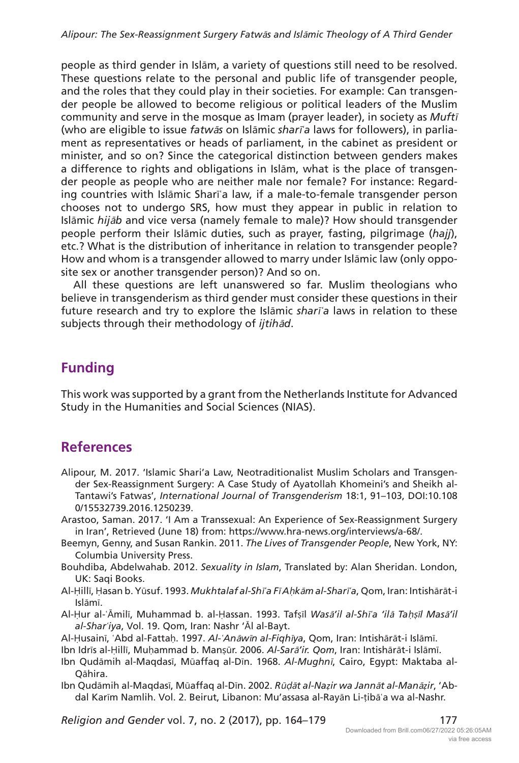people as third gender in Islām, a variety of questions still need to be resolved. These questions relate to the personal and public life of transgender people, and the roles that they could play in their societies. For example: Can transgender people be allowed to become religious or political leaders of the Muslim community and serve in the mosque as Imam (prayer leader), in society as *Muft*<sup>ī</sup> (who are eligible to issue *fatw*ā*s* on Islāmic *shar*ī*ʿa* laws for followers), in parliament as representatives or heads of parliament, in the cabinet as president or minister, and so on? Since the categorical distinction between genders makes a difference to rights and obligations in Islām, what is the place of transgender people as people who are neither male nor female? For instance: Regarding countries with Islāmic Sharīʿa law, if a male-to-female transgender person chooses not to undergo SRS, how must they appear in public in relation to Islāmic *hij*ā*b* and vice versa (namely female to male)? How should transgender people perform their Islāmic duties, such as prayer, fasting, pilgrimage (*hajj*), etc.? What is the distribution of inheritance in relation to transgender people? How and whom is a transgender allowed to marry under Islāmic law (only opposite sex or another transgender person)? And so on.

All these questions are left unanswered so far. Muslim theologians who believe in transgenderism as third gender must consider these questions in their future research and try to explore the Islāmic *shar*ī*ʿa* laws in relation to these subjects through their methodology of *ijtih*ā*d*.

### **Funding**

This work was supported by a grant from the Netherlands Institute for Advanced Study in the Humanities and Social Sciences (NIAS).

### **References**

- Alipour, M. 2017. 'Islamic Shari'a Law, Neotraditionalist Muslim Scholars and Transgender Sex-Reassignment Surgery: A Case Study of Ayatollah Khomeini's and Sheikh al-Tantawi's Fatwas', *International Journal of Transgenderism* 18:1, 91–103, DOI:10.108 0/15532739.2016.1250239.
- Arastoo, Saman. 2017. 'I Am a Transsexual: An Experience of Sex-Reassignment Surgery in Iran', Retrieved (June 18) from: <https://www.hra-news.org/interviews>/a-68/.
- Beemyn, Genny, and Susan Rankin. 2011. *The Lives of Transgender People*, New York, NY: Columbia University Press.
- Bouhdiba, Abdelwahab. 2012. *Sexuality in Islam*, Translated by: Alan Sheridan. London, UK: Saqi Books.
- Al-Ḥillī, Ḥasan b. Yūsuf. 1993. *Mukhtalaf al-Sh*ī*ʿa F*ī *A*ḥ*k*ā*m al-Shar*ī*ʿa*, Qom, Iran: Intishārāt-i Islāmī.
- Al-Ḥur al-ʿĀmilī, Muhammad b. al-Ḥassan. 1993. Tafṣīl *Was*ā*'il al-Sh*ī*ʿa 'il*ā *Ta*ḥṣī*l Mas*ā*'il al-Sharʿiya*, Vol. 19. Qom, Iran: Nashr 'Āl al-Bayt.

Al-Ḥusainī, ʿAbd al-Fattaḥ. 1997. *Al-ʿAn*ā*w*ī*n al-Fiqh*ī*ya*, Qom, Iran: Intishārāt-i Islāmī.

- Ibn Idrīs al-Ḥillī, Muḥammad b. Manṣūr. 2006. *Al-Sar*ā*'ir. Qom*, Iran: Intishārāt-i Islāmī.
- Ibn Qudāmih al-Maqdasī, Mūaffaq al-Dīn. 1968. *Al-Mughn*ī, Cairo, Egypt: Maktaba al-Qāhira.
- Ibn Qudāmih al-Maqdasī, Mūaffaq al-Dīn. 2002. *R*ūḍā*t al-Naẓir wa Jann*ā*t al-Man*ā*ẓir*, 'Abdal Karīm Namlih. Vol. 2. Beirut, Libanon: Mu'assasa al-Rayān Li-ṭibāʿa wa al-Nashr.

*Religion and Gender* vol. 7, no. 2 (2017), pp. 164–179 177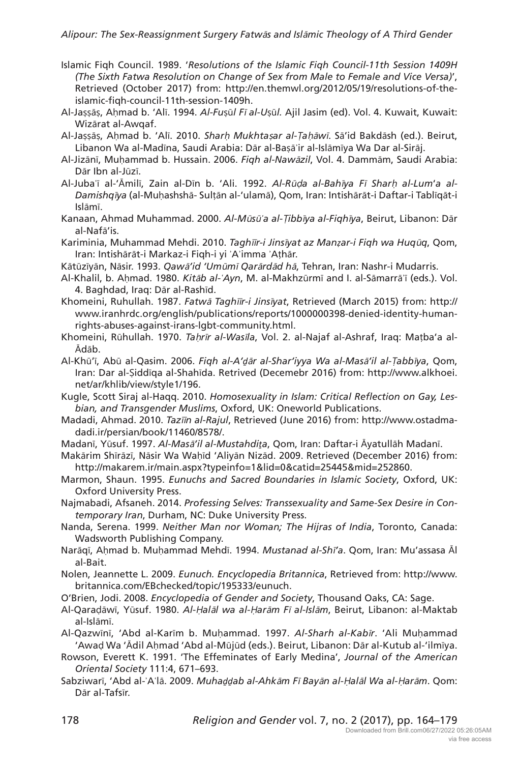- Islamic Fiqh Council. 1989. '*Resolutions of the Islamic Fiqh Council-11th Session 1409H (The Sixth Fatwa Resolution on Change of Sex from Male to Female and Vice Versa)*', Retrieved (October 2017) from: <http://en.themwl.org/2012/05/19/resolutions>-of-theislamic-fiqh-council-11th-session-1409h.
- Al-Jaṣṣāṣ, Aḥmad b. 'Alī. 1994. *Al-Fu*ṣū*l F*ī *al-U*ṣū*l.* Ajil Jasim (ed). Vol. 4. Kuwait, Kuwait: Wizārat al-Awqaf.
- Al-Jaṣṣāṣ, Aḥmad b. 'Alī. 2010. *Shar*ḥ *Mukhta*ṣ*ar al-*Ṭ*a*ḥā*w*ī. Sā'id Bakdāsh (ed.). Beirut, Libanon Wa al-Madīna, Saudi Arabia: Dār al-Baṣāʾir al-Islāmīya Wa Dar al-Sirāj.
- Al-Jizānī, Muḥammad b. Hussain. 2006. *Fiqh al-Naw*ā*zil*, Vol. 4. Dammām, Saudi Arabia: Dār Ibn al-Jūzī.
- Al-Jubaʿī al-'Āmilī, Zain al-Dīn b. 'Ali. 1992. *Al-R*ūḍ*a al-Bah*ī*ya F*ī *Shar*ḥ *al-Lum*'*a al-Damishq*ī*ya* (al-Muḥashshā- Sulṭān al-'ulamā), Qom, Iran: Intishārāt-i Daftar-i Tablīqāt-i Islāmī.
- Kanaan, Ahmad Muhammad. 2000. *Al-M*ū*s*ū*ʿa al-*Ṭ*ibb*ī*ya al-Fiqh*ī*ya*, Beirut, Libanon: Dār al-Nafā'is.
- Kariminia, Muhammad Mehdi. 2010. *Tagh*īī*r-i Jins*ī*yat az Manẓar-i Fiqh wa Huq*ū*q*, Qom, Iran: Intishārāt-i Markaz-i Fiqh-i yi ʾAʾimma ʾAṭhār.
- Kātūzīyān, Nāsir. 1993. *Qaw*ā*'id 'Um*ū*m*ī *Qar*ā*rd*ā*d h*ā, Tehran, Iran: Nashr-i Mudarris.
- Al-Khalil, b. Aḥmad. 1980. *Kit*ā*b al-ʿAyn*, M. al-Makhzūrmī and I. al-Sāmarrāʾī (eds.). Vol. 4. Baghdad, Iraq: Dār al-Rashīd.
- Khomeini, Ruhullah. 1987. *Fatw*ā *Tagh*īī*r-i Jins*ī*yat*, Retrieved (March 2015) from: [http://](http://www.iranhrdc.org/english/publications/reports/1000000398-denied-identity-human-rights-abuses-against-irans-lgbt-community.html) [www.iranhrdc.org/english/publications/reports/1000000398-denied-identity-human](http://www.iranhrdc.org/english/publications/reports/1000000398-denied-identity-human-rights-abuses-against-irans-lgbt-community.html)[rights-abuses-against-irans-lgbt-community.html.](http://www.iranhrdc.org/english/publications/reports/1000000398-denied-identity-human-rights-abuses-against-irans-lgbt-community.html)
- Khomeini, Rūhullah. 1970. *Ta*ḥ*r*ī*r al-Was*ī*la*, Vol. 2. al-Najaf al-Ashraf, Iraq: Maṭba'a al-Ādāb.
- Al-Khū'ī, Abū al-Qasim. 2006. *Fiqh al-A'ḏ*ā*r al-Shar'iyya Wa al-Mas*ā*'il al-*Ṭ*abb*ī*ya*, Qom, Iran: Dar al-Ṣiddīqa al-Shahīda. Retrived (Decemebr 2016) from: [http://www.alkhoei.](http://www.alkhoei.net/ar/khlib/view/style1/196) [net/ar/khlib/view/style1/196](http://www.alkhoei.net/ar/khlib/view/style1/196).
- Kugle, Scott Siraj al-Haqq. 2010. *Homosexuality in Islam: Critical Reflection on Gay, Lesbian, and Transgender Muslims*, Oxford, UK: Oneworld Publications.
- Madadi, Ahmad. 2010. *Taz*īī*n al-Rajul*, Retrieved (June 2016) from: [http://www.ostadma](http://www.ostadmadadi.ir/persian/book/11460/8578)[dadi.ir/persian/book/11460/8578/](http://www.ostadmadadi.ir/persian/book/11460/8578).
- Madanī, Yūsuf. 1997. *Al-Mas*ā*'il al-Mustahdiṯa*, Qom, Iran: Daftar-i Āyatullāh Madanī.
- Makārim Shīrāzī, Nāsir Wa Waḥīd 'Aliyān Nizād. 2009. Retrieved (December 2016) from: <http://makarem.ir/main.aspx?typeinfo=1&lid=0&catid=25445&mid=252860.>
- Marmon, Shaun. 1995. *Eunuchs and Sacred Boundaries in Islamic Society*, Oxford, UK: Oxford University Press.
- Najmabadi, Afsaneh. 2014. *Professing Selves: Transsexuality and Same-Sex Desire in Contemporary Iran*, Durham, NC: Duke University Press.
- Nanda, Serena. 1999. *Neither Man nor Woman; The Hijras of India*, Toronto, Canada: Wadsworth Publishing Company.
- Narāqī, Aḥmad b. Muḥammad Mehdī. 1994. *Mustanad al-Sh*ī*'a*. Qom, Iran: Mu'assasa Āl al-Bait.
- Nolen, Jeannette L. 2009. *Eunuch. Encyclopedia Britannica*, Retrieved from: [http://www.](http://www.britannica.com/EBchecked/topic/195333/eunuch) [britannica.com/EBchecked/topic/195333/eunuch.](http://www.britannica.com/EBchecked/topic/195333/eunuch)
- O'Brien, Jodi. 2008. *Encyclopedia of Gender and Society*, Thousand Oaks, CA: Sage.
- Al-Qaraḍāwī, Yūsuf. 1980. *Al-*Ḥ*al*ā*l wa al-*Ḥ*ar*ā*m F*ī *al-Isl*ā*m*, Beirut, Libanon: al-Maktab al-Islāmī.
- Al-Qazwīnī, 'Abd al-Karīm b. Muḥammad. 1997. *Al-Sharh al-Kab*ī*r*. 'Ali Muḥammad 'Awaḍ Wa 'Ādil Aḥmad 'Abd al-Mūjūd (eds.). Beirut, Libanon: Dār al-Kutub al-'ilmīya.
- Rowson, Everett K. 1991. 'The Effeminates of Early Medina', *Journal of the American Oriental Society* 111:4, 671–693.
- Sabziwarī, 'Abd al-ʾAʿlā. 2009. *Muhaḏḏab al-Ahk*ā*m F*<sup>ī</sup> *Bay*ā*n al-*Ḥ*al*ā*l Wa al-*Ḥ*ar*ā*m*. Qom: Dār al-Tafsīr.